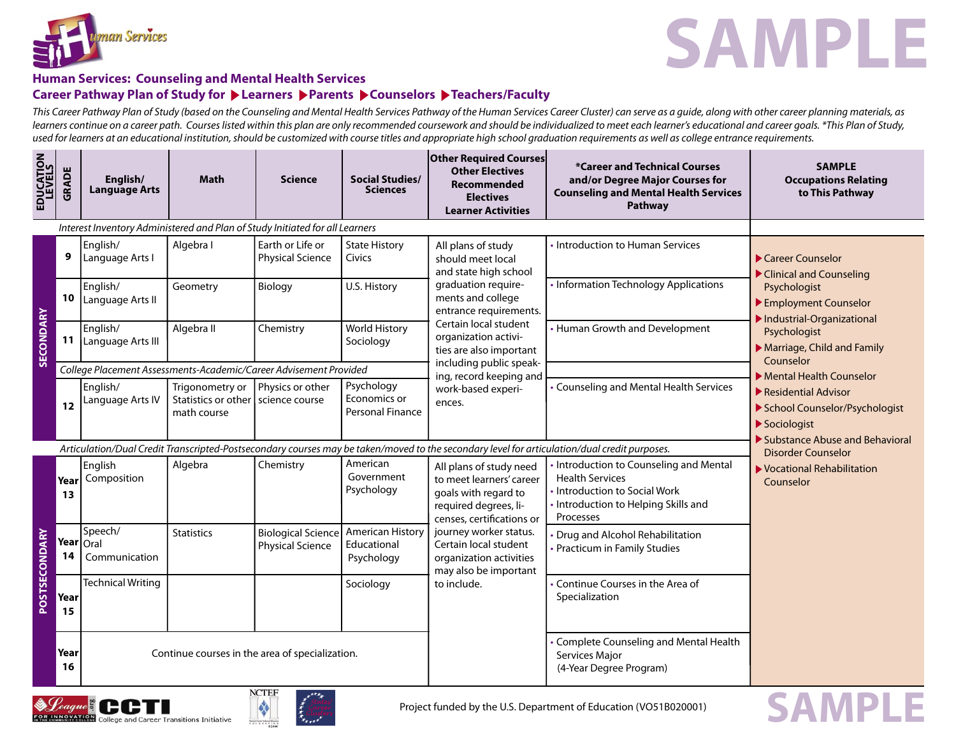



**SAMPLE**

# **Human Services: Counseling and Mental Health Services** Career Pathway Plan of Study for ▶ Learners ▶ Parents ▶ Counselors ▶ Teachers/Faculty

This Career Pathway Plan of Study (based on the Counseling and Mental Health Services Pathway of the Human Services Career Cluster) can serve as a quide, along with other career planning materials, as learners continue on a career path. Courses listed within this plan are only recommended coursework and should be individualized to meet each learner's educational and career goals. \*This Plan of Study, used for learners at an educational institution, should be customized with course titles and appropriate high school graduation requirements as well as college entrance requirements.

| EDUCATION<br>LEVELS  | GRADE                                                             | English/<br><b>Language Arts</b>                | <b>Math</b>                                           | <b>Science</b>                                                               | <b>Social Studies/</b><br><b>Sciences</b>            | Other Required Courses<br><b>Other Electives</b><br><b>Recommended</b><br><b>Electives</b><br><b>Learner Activities</b>                                                                                                                                                                                                                                                                                                                                                                                                                         | *Career and Technical Courses<br>and/or Degree Major Courses for<br><b>Counseling and Mental Health Services</b><br>Pathway | <b>SAMPLE</b><br><b>Occupations Relating</b><br>to This Pathway                                         |
|----------------------|-------------------------------------------------------------------|-------------------------------------------------|-------------------------------------------------------|------------------------------------------------------------------------------|------------------------------------------------------|-------------------------------------------------------------------------------------------------------------------------------------------------------------------------------------------------------------------------------------------------------------------------------------------------------------------------------------------------------------------------------------------------------------------------------------------------------------------------------------------------------------------------------------------------|-----------------------------------------------------------------------------------------------------------------------------|---------------------------------------------------------------------------------------------------------|
|                      |                                                                   |                                                 |                                                       | Interest Inventory Administered and Plan of Study Initiated for all Learners |                                                      |                                                                                                                                                                                                                                                                                                                                                                                                                                                                                                                                                 |                                                                                                                             |                                                                                                         |
|                      | 9                                                                 | English/<br>Language Arts I                     | Algebra I                                             | Earth or Life or<br><b>Physical Science</b>                                  | <b>State History</b><br>Civics                       | • Introduction to Human Services<br>All plans of study<br>should meet local<br>and state high school<br>• Information Technology Applications<br>graduation require-<br>ments and college<br>entrance requirements.<br>Certain local student<br>• Human Growth and Development<br>organization activi-<br>ties are also important                                                                                                                                                                                                               |                                                                                                                             | Career Counselor<br>Clinical and Counseling                                                             |
| <b>SECONDARY</b>     | 10 <sup>°</sup>                                                   | English/<br>Language Arts II                    | Geometry                                              | Biology                                                                      | U.S. History                                         |                                                                                                                                                                                                                                                                                                                                                                                                                                                                                                                                                 |                                                                                                                             | Psychologist<br>Employment Counselor<br>Industrial-Organizational                                       |
|                      | 11                                                                | English/<br>Language Arts III                   | Algebra II                                            | Chemistry                                                                    | <b>World History</b><br>Sociology                    |                                                                                                                                                                                                                                                                                                                                                                                                                                                                                                                                                 | Psychologist<br>Marriage, Child and Family                                                                                  |                                                                                                         |
|                      | College Placement Assessments-Academic/Career Advisement Provided |                                                 |                                                       |                                                                              |                                                      | including public speak-<br>ing, record keeping and                                                                                                                                                                                                                                                                                                                                                                                                                                                                                              |                                                                                                                             | Counselor<br>Mental Health Counselor                                                                    |
|                      | 12                                                                | English/<br>Language Arts IV                    | Trigonometry or<br>Statistics or other<br>math course | Physics or other<br>science course                                           | Psychology<br>Economics or<br>Personal Finance       | work-based experi-<br>ences.                                                                                                                                                                                                                                                                                                                                                                                                                                                                                                                    | • Counseling and Mental Health Services                                                                                     | $\blacktriangleright$ Residential Advisor<br>School Counselor/Psychologist<br>Sociologist               |
|                      |                                                                   |                                                 |                                                       |                                                                              |                                                      | Articulation/Dual Credit Transcripted-Postsecondary courses may be taken/moved to the secondary level for articulation/dual credit purposes.                                                                                                                                                                                                                                                                                                                                                                                                    |                                                                                                                             | Substance Abuse and Behavioral<br><b>Disorder Counselor</b><br>▶ Vocational Rehabilitation<br>Counselor |
| <b>POSTSECONDARY</b> | Year<br>13                                                        | English<br>Composition                          | Algebra                                               | Chemistry                                                                    | American<br>Government<br>Psychology                 | • Introduction to Counseling and Mental<br>All plans of study need<br><b>Health Services</b><br>to meet learners' career<br>• Introduction to Social Work<br>goals with regard to<br>• Introduction to Helping Skills and<br>required degrees, li-<br>Processes<br>censes, certifications or<br>journey worker status.<br>• Drug and Alcohol Rehabilitation<br>Certain local student<br>• Practicum in Family Studies<br>organization activities<br>may also be important<br>• Continue Courses in the Area of<br>to include.<br>Specialization |                                                                                                                             |                                                                                                         |
|                      | Year Oral<br>14                                                   | Speech/<br>Communication                        | <b>Statistics</b>                                     | <b>Biological Science</b><br><b>Physical Science</b>                         | <b>American History</b><br>Educational<br>Psychology |                                                                                                                                                                                                                                                                                                                                                                                                                                                                                                                                                 |                                                                                                                             |                                                                                                         |
|                      | Year<br>15                                                        | <b>Technical Writing</b>                        |                                                       |                                                                              | Sociology                                            |                                                                                                                                                                                                                                                                                                                                                                                                                                                                                                                                                 |                                                                                                                             |                                                                                                         |
|                      | Year<br>16                                                        | Continue courses in the area of specialization. |                                                       |                                                                              |                                                      |                                                                                                                                                                                                                                                                                                                                                                                                                                                                                                                                                 | Complete Counseling and Mental Health<br>Services Major<br>(4-Year Degree Program)                                          |                                                                                                         |



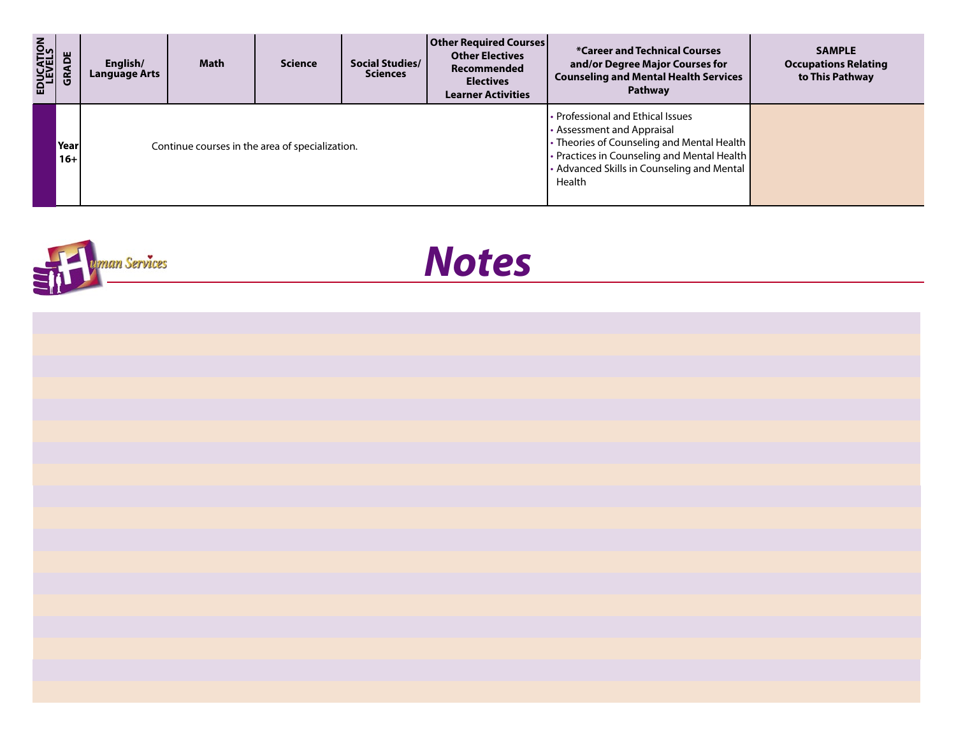| EDUCATION<br>LEVELS | ă             | English/<br><b>Language Arts</b>                | <b>Math</b> | <b>Science</b> | Social Studies/<br><b>Sciences</b> | <b>Other Required Courses</b><br><b>Other Electives</b><br>Recommended<br><b>Electives</b><br><b>Learner Activities</b>                                                                                                | <b>*Career and Technical Courses</b><br>and/or Degree Major Courses for<br><b>Counseling and Mental Health Services</b><br>Pathway | <b>SAMPLE</b><br><b>Occupations Relating</b><br>to This Pathway |
|---------------------|---------------|-------------------------------------------------|-------------|----------------|------------------------------------|------------------------------------------------------------------------------------------------------------------------------------------------------------------------------------------------------------------------|------------------------------------------------------------------------------------------------------------------------------------|-----------------------------------------------------------------|
|                     | Year<br>$16+$ | Continue courses in the area of specialization. |             |                |                                    | • Professional and Ethical Issues<br>• Assessment and Appraisal<br>• Theories of Counseling and Mental Health  <br>• Practices in Counseling and Mental Health<br>• Advanced Skills in Counseling and Mental<br>Health |                                                                                                                                    |                                                                 |



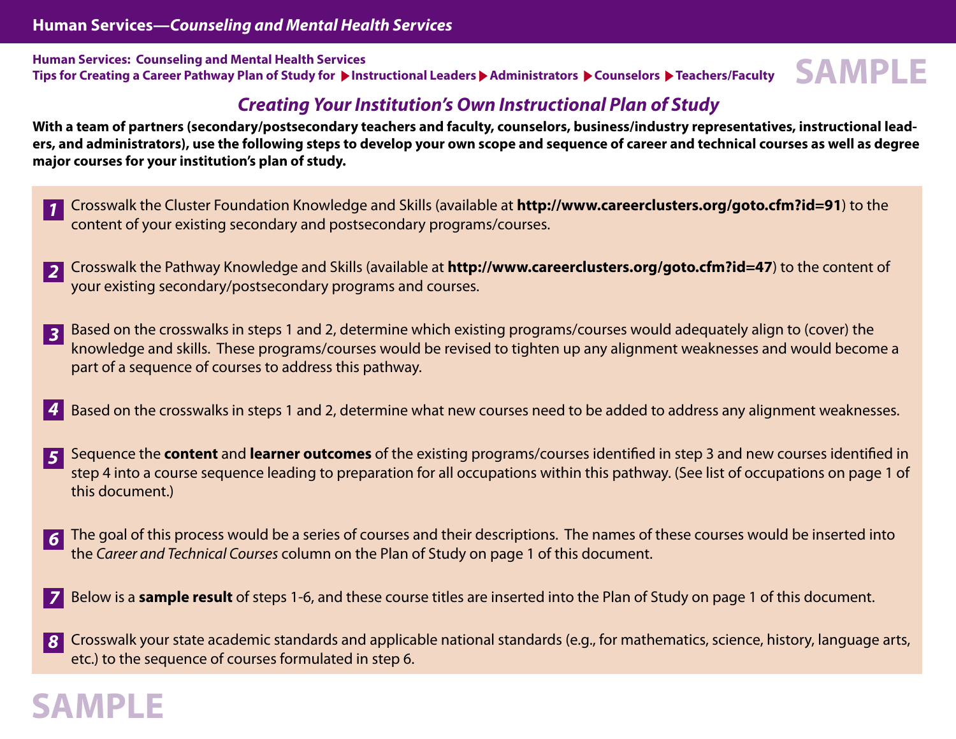**Human Services: Counseling and Mental Health Services** Tips for Creating a Career Pathway Plan of Study for **Depect on Administrators Administrators A** Counselors Deachers/Faculty **SAMPLE**

# **Creating Your Institution's Own Instructional Plan of Study**

**With a team of partners (secondary/postsecondary teachers and faculty, counselors, business/industry representatives, instructional leaders, and administrators), use the following steps to develop your own scope and sequence of career and technical courses as well as degree major courses for your institution's plan of study.**

- Crosswalk the Cluster Foundation Knowledge and Skills (available at **http://www.careerclusters.org/goto.cfm?id=91**) to the content of your existing secondary and postsecondary programs/courses. **1**
- Crosswalk the Pathway Knowledge and Skills (available at **http://www.careerclusters.org/goto.cfm?id=47**) to the content of your existing secondary/postsecondary programs and courses. **2**
- Based on the crosswalks in steps 1 and 2, determine which existing programs/courses would adequately align to (cover) the knowledge and skills. These programs/courses would be revised to tighten up any alignment weaknesses and would become a part of a sequence of courses to address this pathway. **3**
- Based on the crosswalks in steps 1 and 2, determine what new courses need to be added to address any alignment weaknesses. **4**
- Sequence the **content** and **learner outcomes** of the existing programs/courses identified in step 3 and new courses identified in step 4 into a course sequence leading to preparation for all occupations within this pathway. (See list of occupations on page 1 of this document.) **5**
- The goal of this process would be a series of courses and their descriptions. The names of these courses would be inserted into the Career and Technical Courses column on the Plan of Study on page 1 of this document. **6**
- Below is a **sample result** of steps 1-6, and these course titles are inserted into the Plan of Study on page 1 of this document. **7**
- Crosswalk your state academic standards and applicable national standards (e.g., for mathematics, science, history, language arts, etc.) to the sequence of courses formulated in step 6. **8**

# **SAMPLE**